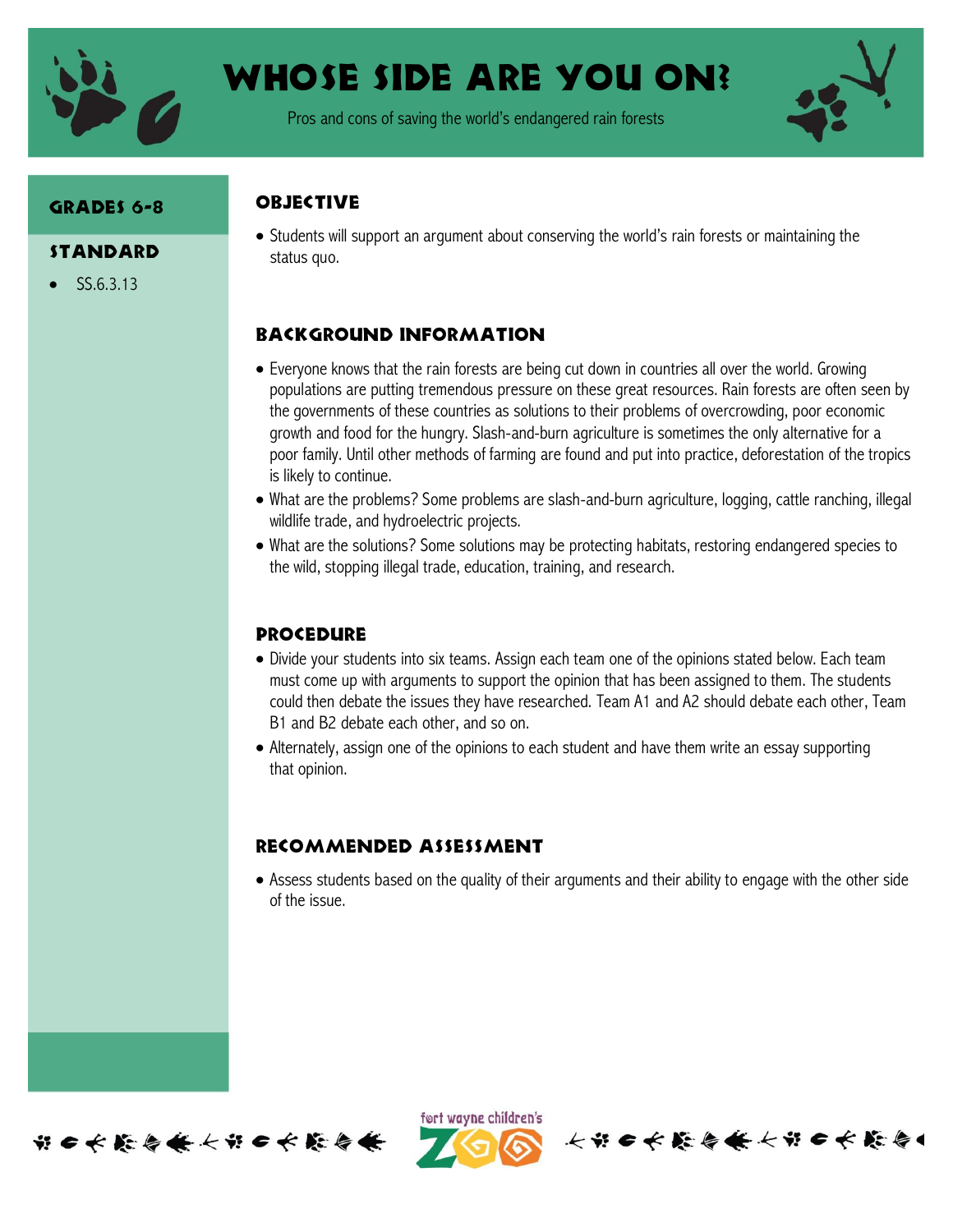

# Whose Side are you on?

Pros and cons of saving the world's endangered rain forests



## Grades 6-8

- **STANDARD**
- SS.6.3.13

#### **ORJECTIVE**

 Students will support an argument about conserving the world's rain forests or maintaining the status quo.

### Background information

- Everyone knows that the rain forests are being cut down in countries all over the world. Growing populations are putting tremendous pressure on these great resources. Rain forests are often seen by the governments of these countries as solutions to their problems of overcrowding, poor economic growth and food for the hungry. Slash-and-burn agriculture is sometimes the only alternative for a poor family. Until other methods of farming are found and put into practice, deforestation of the tropics is likely to continue.
- What are the problems? Some problems are slash-and-burn agriculture, logging, cattle ranching, illegal wildlife trade, and hydroelectric projects.
- What are the solutions? Some solutions may be protecting habitats, restoring endangered species to the wild, stopping illegal trade, education, training, and research.

#### **PROCEDURE**

- Divide your students into six teams. Assign each team one of the opinions stated below. Each team must come up with arguments to support the opinion that has been assigned to them. The students could then debate the issues they have researched. Team A1 and A2 should debate each other, Team B1 and B2 debate each other, and so on.
- Alternately, assign one of the opinions to each student and have them write an essay supporting that opinion.

### Recommended assessment

 Assess students based on the quality of their arguments and their ability to engage with the other side of the issue.



ført wayne children's

长节日长能会长长节日长能会